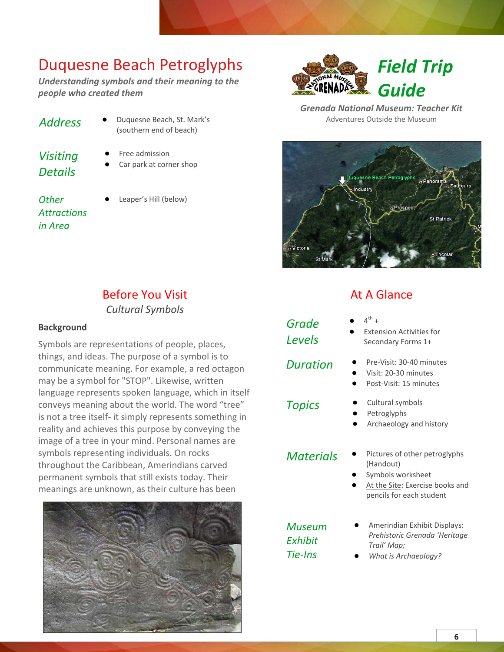*Understanding symbols and their meaning to the people who created them*

| <b>Address</b> |  |
|----------------|--|
| Visiting       |  |

- **●** Free admission
- Car park at corner shop

**Duquesne Beach, St. Mark's** (southern end of beach)

*Other Attractions in Area*

*Details*

Leaper's Hill (below)

### Before You Visit *Cultural Symbols*

#### **Background**

Symbols are representations of people, places, things, and ideas. The purpose of a symbol is to communicate meaning. For example, a red octagon may be a symbol for "STOP". Likewise, written language represents spoken language, which in itself conveys meaning about the world. The word "tree" is not a tree itself- it simply represents something in reality and achieves this purpose by conveying the image of a tree in your mind. Personal names are symbols representing individuals. On rocks throughout the Caribbean, Amerindians carved permanent symbols that still exists today. Their meanings are unknown, as their culture has been



*Field Trip Guide*

*Grenada National Museum: Teacher Kit* Adventures Outside the Museum

Duquesne Beach Petroglyphs o Pano ndustry Prospect St Patrick o Victoria

## At A Glance

- 
- 
- *Topics* **●** Cultural symbols

*Grade Levels*

*Materials* **●** Pictures of other petroglyphs (Handout)

**●** Archaeology and history

- **●** Symbols worksheet
- At the Site: Exercise books and pencils for each student

*Museum Exhibit Tie-Ins*

- **●** Amerindian Exhibit Displays: *Prehistoric Grenada 'Heritage Trail' Map;*
- **●** *What is Archaeology?*

#### 6

#### **●** 4  $\mathsf{^{th}}$  +

- **Extension Activities for** Secondary Forms 1+
- *Duration* **●** Pre-Visit: 30-40 minutes
	- **●** Visit: 20-30 minutes

**●** Petroglyphs

**●** Post-Visit: 15 minutes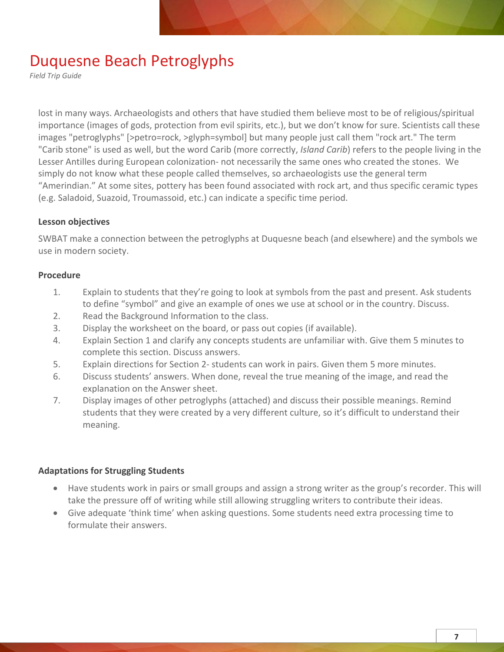*Field Trip Guide*

lost in many ways. Archaeologists and others that have studied them believe most to be of religious/spiritual importance (images of gods, protection from evil spirits, etc.), but we don't know for sure. Scientists call these images "petroglyphs" [>petro=rock, >glyph=symbol] but many people just call them "rock art." The term "Carib stone" is used as well, but the word Carib (more correctly, *Island Carib*) refers to the people living in the Lesser Antilles during European colonization- not necessarily the same ones who created the stones. We simply do not know what these people called themselves, so archaeologists use the general term "Amerindian." At some sites, pottery has been found associated with rock art, and thus specific ceramic types (e.g. Saladoid, Suazoid, Troumassoid, etc.) can indicate a specific time period.

#### **Lesson objectives**

SWBAT make a connection between the petroglyphs at Duquesne beach (and elsewhere) and the symbols we use in modern society.

#### **Procedure**

- 1. Explain to students that they're going to look at symbols from the past and present. Ask students to define "symbol" and give an example of ones we use at school or in the country. Discuss.
- 2. Read the Background Information to the class.
- 3. Display the worksheet on the board, or pass out copies (if available).
- 4. Explain Section 1 and clarify any concepts students are unfamiliar with. Give them 5 minutes to complete this section. Discuss answers.
- 5. Explain directions for Section 2- students can work in pairs. Given them 5 more minutes.
- 6. Discuss students' answers. When done, reveal the true meaning of the image, and read the explanation on the Answer sheet.
- 7. Display images of other petroglyphs (attached) and discuss their possible meanings. Remind students that they were created by a very different culture, so it's difficult to understand their meaning.

### **Adaptations for Struggling Students**

- Have students work in pairs or small groups and assign a strong writer as the group's recorder. This will take the pressure off of writing while still allowing struggling writers to contribute their ideas.
- Give adequate 'think time' when asking questions. Some students need extra processing time to formulate their answers.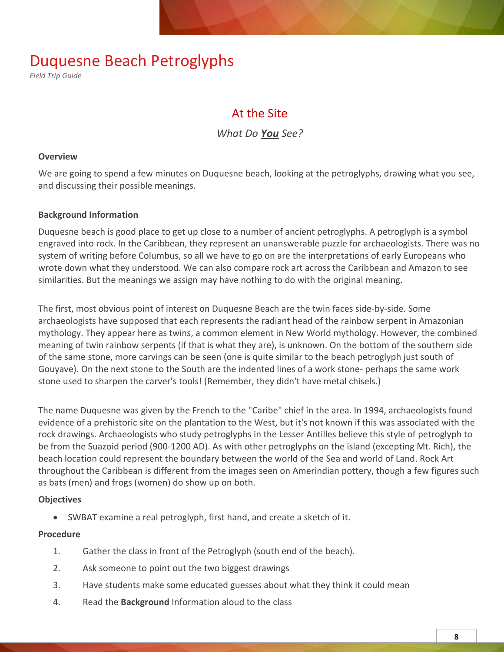*Field Trip Guide*

## At the Site

*What Do You See?*

#### **Overview**

We are going to spend a few minutes on Duquesne beach, looking at the petroglyphs, drawing what you see, and discussing their possible meanings.

#### **Background Information**

Duquesne beach is good place to get up close to a number of ancient petroglyphs. A petroglyph is a symbol engraved into rock. In the Caribbean, they represent an unanswerable puzzle for archaeologists. There was no system of writing before Columbus, so all we have to go on are the interpretations of early Europeans who wrote down what they understood. We can also compare rock art across the Caribbean and Amazon to see similarities. But the meanings we assign may have nothing to do with the original meaning.

The first, most obvious point of interest on Duquesne Beach are the twin faces side-by-side. Some archaeologists have supposed that each represents the radiant head of the rainbow serpent in Amazonian mythology. They appear here as twins, a common element in New World mythology. However, the combined meaning of twin rainbow serpents (if that is what they are), is unknown. On the bottom of the southern side of the same stone, more carvings can be seen (one is quite similar to the beach petroglyph just south of Gouyave). On the next stone to the South are the indented lines of a work stone- perhaps the same work stone used to sharpen the carver's tools! (Remember, they didn't have metal chisels.)

The name Duquesne was given by the French to the "Caribe" chief in the area. In 1994, archaeologists found evidence of a prehistoric site on the plantation to the West, but it's not known if this was associated with the rock drawings. Archaeologists who study petroglyphs in the Lesser Antilles believe this style of petroglyph to be from the Suazoid period (900-1200 AD). As with other petroglyphs on the island (excepting Mt. Rich), the beach location could represent the boundary between the world of the Sea and world of Land. Rock Art throughout the Caribbean is different from the images seen on Amerindian pottery, though a few figures such as bats (men) and frogs (women) do show up on both.

#### **Objectives**

• SWBAT examine a real petroglyph, first hand, and create a sketch of it.

### **Procedure**

- 1. Gather the class in front of the Petroglyph (south end of the beach).
- 2. Ask someone to point out the two biggest drawings
- 3. Have students make some educated guesses about what they think it could mean
- 4. Read the **Background** Information aloud to the class